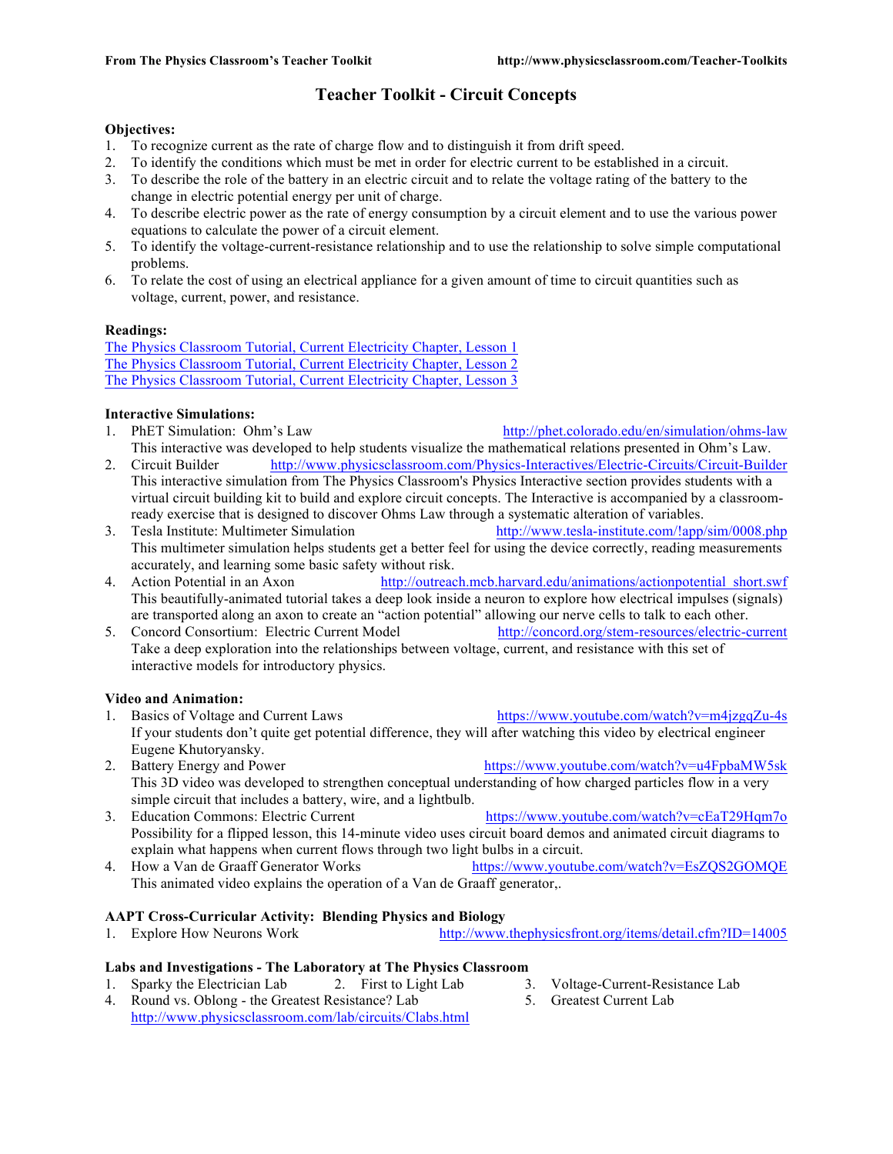# **Teacher Toolkit - Circuit Concepts**

## **Objectives:**

- 1. To recognize current as the rate of charge flow and to distinguish it from drift speed.
- 2. To identify the conditions which must be met in order for electric current to be established in a circuit.
- 3. To describe the role of the battery in an electric circuit and to relate the voltage rating of the battery to the change in electric potential energy per unit of charge.
- 4. To describe electric power as the rate of energy consumption by a circuit element and to use the various power equations to calculate the power of a circuit element.
- 5. To identify the voltage-current-resistance relationship and to use the relationship to solve simple computational problems.
- 6. To relate the cost of using an electrical appliance for a given amount of time to circuit quantities such as voltage, current, power, and resistance.

# **Readings:**

The Physics Classroom Tutorial, Current Electricity Chapter, Lesson 1 The Physics Classroom Tutorial, Current Electricity Chapter, Lesson 2 The Physics Classroom Tutorial, Current Electricity Chapter, Lesson 3

# **Interactive Simulations:**

- 1. PhET Simulation: Ohm's Law http://phet.colorado.edu/en/simulation/ohms-law This interactive was developed to help students visualize the mathematical relations presented in Ohm's Law.
- 2. Circuit Builder http://www.physicsclassroom.com/Physics-Interactives/Electric-Circuits/Circuit-Builder This interactive simulation from The Physics Classroom's Physics Interactive section provides students with a virtual circuit building kit to build and explore circuit concepts. The Interactive is accompanied by a classroomready exercise that is designed to discover Ohms Law through a systematic alteration of variables.
- 3. Tesla Institute: Multimeter Simulation http://www.tesla-institute.com/!app/sim/0008.php This multimeter simulation helps students get a better feel for using the device correctly, reading measurements accurately, and learning some basic safety without risk.
- 4. Action Potential in an Axon http://outreach.mcb.harvard.edu/animations/actionpotential short.swf This beautifully-animated tutorial takes a deep look inside a neuron to explore how electrical impulses (signals) are transported along an axon to create an "action potential" allowing our nerve cells to talk to each other.
- 5. Concord Consortium: Electric Current Model http://concord.org/stem-resources/electric-current Take a deep exploration into the relationships between voltage, current, and resistance with this set of interactive models for introductory physics.

# **Video and Animation:**

- 1. Basics of Voltage and Current Laws https://www.youtube.com/watch?v=m4jzgqZu-4s If your students don't quite get potential difference, they will after watching this video by electrical engineer Eugene Khutoryansky.
- 2. Battery Energy and Power https://www.youtube.com/watch?v=u4FpbaMW5sk This 3D video was developed to strengthen conceptual understanding of how charged particles flow in a very simple circuit that includes a battery, wire, and a lightbulb.
- 3. Education Commons: Electric Current https://www.youtube.com/watch?v=cEaT29Hqm7o Possibility for a flipped lesson, this 14-minute video uses circuit board demos and animated circuit diagrams to explain what happens when current flows through two light bulbs in a circuit.
- 4. How a Van de Graaff Generator Works https://www.youtube.com/watch?v=EsZQS2GOMQE This animated video explains the operation of a Van de Graaff generator,.

# **AAPT Cross-Curricular Activity: Blending Physics and Biology**

1. Explore How Neurons Work http://www.thephysicsfront.org/items/detail.cfm?ID=14005

# **Labs and Investigations - The Laboratory at The Physics Classroom**

- 1. Sparky the Electrician Lab 2. First to Light Lab 3. Voltage-Current-Resistance Lab
- 4. Round vs. Oblong the Greatest Resistance? Lab 5. Greatest Current Lab http://www.physicsclassroom.com/lab/circuits/Clabs.html
- -